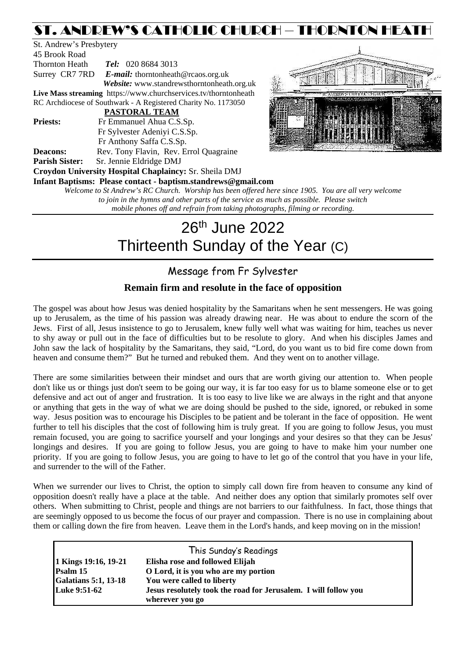# ST. ANDREW'S CATHOLIC CHURCH – THORNTON HEATH

| St. Andrew's Presbytery |                                                                 |                   |  |  |  |  |  |
|-------------------------|-----------------------------------------------------------------|-------------------|--|--|--|--|--|
| 45 Brook Road           |                                                                 |                   |  |  |  |  |  |
| Thornton Heath          | <b>Tel:</b> 020 8684 3013                                       |                   |  |  |  |  |  |
|                         | Surrey CR7 7RD E-mail: thorntonheath@rcaos.org.uk               |                   |  |  |  |  |  |
|                         | Website: www.standrewsthorntonheath.org.uk                      | $\frac{1}{2}$     |  |  |  |  |  |
|                         | Live Mass streaming https://www.churchservices.tv/thorntonheath |                   |  |  |  |  |  |
|                         | RC Archdiocese of Southwark - A Registered Charity No. 1173050  |                   |  |  |  |  |  |
|                         | <b>PASTORAL TEAM</b>                                            |                   |  |  |  |  |  |
| <b>Priests:</b>         | Fr Emmanuel Ahua C.S.Sp.                                        |                   |  |  |  |  |  |
|                         | Fr Sylvester Adeniyi C.S.Sp.                                    |                   |  |  |  |  |  |
|                         | Fr Anthony Saffa C.S.Sp.                                        | 1. 1. 1. 1. 1. 1. |  |  |  |  |  |
| <b>Deacons:</b>         | Rev. Tony Flavin, Rev. Errol Quagraine                          |                   |  |  |  |  |  |
| <b>Parish Sister:</b>   | Sr. Jennie Eldridge DMJ                                         |                   |  |  |  |  |  |
|                         | Croydon University Hospital Chaplaincy: Sr. Sheila DMJ          |                   |  |  |  |  |  |
|                         | Infant Baptisms: Please contact - baptism.standrews@gmail.com   |                   |  |  |  |  |  |
|                         | Welcome to St Andrew's RC Church. Worship has been offered he   |                   |  |  |  |  |  |
|                         |                                                                 |                   |  |  |  |  |  |



*Welcome to St Andrew's RC Church. Worship has been offered here since 1905. You are all very welcome to join in the hymns and other parts of the service as much as possible. Please switch mobile phones off and refrain from taking photographs, filming or recording.*

# 26th June 2022 Thirteenth Sunday of the Year (C)

# Message from Fr Sylvester

## **Remain firm and resolute in the face of opposition**

The gospel was about how Jesus was denied hospitality by the Samaritans when he sent messengers. He was going up to Jerusalem, as the time of his passion was already drawing near. He was about to endure the scorn of the Jews. First of all, Jesus insistence to go to Jerusalem, knew fully well what was waiting for him, teaches us never to shy away or pull out in the face of difficulties but to be resolute to glory. And when his disciples James and John saw the lack of hospitality by the Samaritans, they said, "Lord, do you want us to bid fire come down from heaven and consume them?" But he turned and rebuked them. And they went on to another village.

There are some similarities between their mindset and ours that are worth giving our attention to. When people don't like us or things just don't seem to be going our way, it is far too easy for us to blame someone else or to get defensive and act out of anger and frustration. It is too easy to live like we are always in the right and that anyone or anything that gets in the way of what we are doing should be pushed to the side, ignored, or rebuked in some way. Jesus position was to encourage his Disciples to be patient and be tolerant in the face of opposition. He went further to tell his disciples that the cost of following him is truly great. If you are going to follow Jesus, you must remain focused, you are going to sacrifice yourself and your longings and your desires so that they can be Jesus' longings and desires. If you are going to follow Jesus, you are going to have to make him your number one priority. If you are going to follow Jesus, you are going to have to let go of the control that you have in your life, and surrender to the will of the Father.

When we surrender our lives to Christ, the option to simply call down fire from heaven to consume any kind of opposition doesn't really have a place at the table. And neither does any option that similarly promotes self over others. When submitting to Christ, people and things are not barriers to our faithfulness. In fact, those things that are seemingly opposed to us become the focus of our prayer and compassion. There is no use in complaining about them or calling down the fire from heaven. Leave them in the Lord's hands, and keep moving on in the mission!

|                                                                                        | This Sunday's Readings               |  |  |  |
|----------------------------------------------------------------------------------------|--------------------------------------|--|--|--|
| 1 Kings 19:16, 19-21                                                                   | Elisha rose and followed Elijah      |  |  |  |
| Psalm 15                                                                               | O Lord, it is you who are my portion |  |  |  |
| <b>Galatians 5:1, 13-18</b>                                                            | You were called to liberty           |  |  |  |
| <b>Luke 9:51-62</b><br>Jesus resolutely took the road for Jerusalem. I will follow you |                                      |  |  |  |
|                                                                                        | wherever you go                      |  |  |  |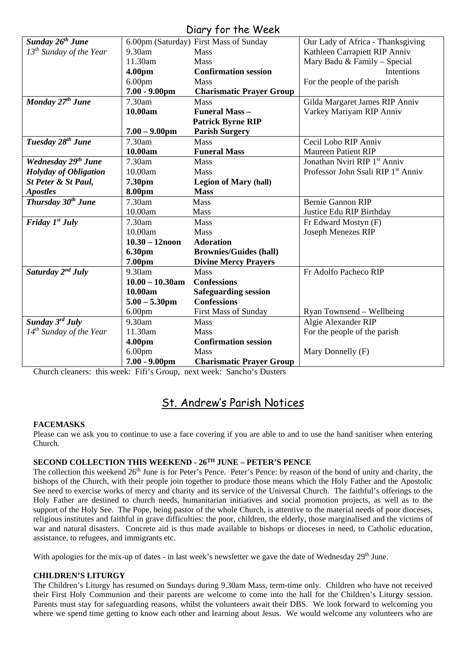Diary for the Week

|                                |                    | <b>DIUTY FOR THE WEEK</b>              |                                    |
|--------------------------------|--------------------|----------------------------------------|------------------------------------|
| Sunday 26 <sup>th</sup> June   |                    | 6.00pm (Saturday) First Mass of Sunday | Our Lady of Africa - Thanksgiving  |
| $13^{th}$ Sunday of the Year   | 9.30am             | Mass                                   | Kathleen Carrapiett RIP Anniv      |
|                                | 11.30am            | Mass                                   | Mary Badu & Family - Special       |
|                                | 4.00pm             | <b>Confirmation session</b>            | Intentions                         |
|                                | 6.00 <sub>pm</sub> | <b>Mass</b>                            | For the people of the parish       |
|                                | $7.00 - 9.00$ pm   | <b>Charismatic Prayer Group</b>        |                                    |
| Monday 27th June               | 7.30am             | <b>Mass</b>                            | Gilda Margaret James RIP Anniv     |
|                                | 10.00am            | <b>Funeral Mass -</b>                  | Varkey Mariyam RIP Anniv           |
|                                |                    | <b>Patrick Byrne RIP</b>               |                                    |
|                                | $7.00 - 9.00$ pm   | <b>Parish Surgery</b>                  |                                    |
| Tuesday 28 <sup>th</sup> June  | 7.30am             | <b>Mass</b>                            | Cecil Lobo RIP Anniv               |
|                                | 10.00am            | <b>Funeral Mass</b>                    | <b>Maureen Patient RIP</b>         |
| Wednesday 29th June            | 7.30am             | <b>Mass</b>                            | Jonathan Nviri RIP 1st Anniv       |
| <b>Holyday of Obligation</b>   | 10.00am            | Mass                                   | Professor John Ssali RIP 1st Anniv |
| St Peter & St Paul,            | 7.30pm             | <b>Legion of Mary (hall)</b>           |                                    |
| <b>Apostles</b>                | 8.00pm             | <b>Mass</b>                            |                                    |
| Thursday 30 <sup>th</sup> June | 7.30am             | Mass                                   | <b>Bernie Gannon RIP</b>           |
|                                | 10.00am            | Mass                                   | Justice Edu RIP Birthday           |
| Friday $Ist$ July              | 7.30am             | <b>Mass</b>                            | Fr Edward Mostyn (F)               |
|                                | 10.00am            | Mass                                   | <b>Joseph Menezes RIP</b>          |
|                                | $10.30 - 12$ noon  | <b>Adoration</b>                       |                                    |
|                                | 6.30pm             | <b>Brownies/Guides (hall)</b>          |                                    |
|                                | 7.00pm             | <b>Divine Mercy Prayers</b>            |                                    |
| Saturday $2^{nd}$ July         | 9.30am             | Mass                                   | Fr Adolfo Pacheco RIP              |
|                                | $10.00 - 10.30$ am | <b>Confessions</b>                     |                                    |
|                                | 10.00am            | <b>Safeguarding session</b>            |                                    |
|                                | $5.00 - 5.30$ pm   | <b>Confessions</b>                     |                                    |
|                                | 6.00 <sub>pm</sub> | <b>First Mass of Sunday</b>            | Ryan Townsend - Wellbeing          |
| Sunday 3rd July                | 9.30am             | Mass                                   | Algie Alexander RIP                |
| $14^{th}$ Sunday of the Year   | 11.30am            | <b>Mass</b>                            | For the people of the parish       |
|                                | 4.00pm             | <b>Confirmation session</b>            |                                    |
|                                | 6.00 <sub>pm</sub> | Mass                                   | Mary Donnelly (F)                  |
|                                | $7.00 - 9.00$ pm   | <b>Charismatic Prayer Group</b>        |                                    |

Church cleaners: this week: Fifi's Group, next week: Sancho's Dusters

## St. Andrew's Parish Notices

### **FACEMASKS**

Please can we ask you to continue to use a face covering if you are able to and to use the hand sanitiser when entering Church.

## **SECOND COLLECTION THIS WEEKEND - 26TH JUNE – PETER'S PENCE**

The collection this weekend 26<sup>th</sup> June is for Peter's Pence. Peter's Pence: by reason of the bond of unity and charity, the bishops of the Church, with their people join together to produce those means which the Holy Father and the Apostolic See need to exercise works of mercy and charity and its service of the Universal Church. The faithful's offerings to the Holy Father are destined to church needs, humanitarian initiatives and social promotion projects, as well as to the support of the Holy See. The Pope, being pastor of the whole Church, is attentive to the material needs of poor dioceses, religious institutes and faithful in grave difficulties: the poor, children, the elderly, those marginalised and the victims of war and natural disasters. Concrete aid is thus made available to bishops or dioceses in need, to Catholic education, assistance, to refugees, and immigrants etc.

With apologies for the mix-up of dates - in last week's newsletter we gave the date of Wednesday 29<sup>th</sup> June.

#### **CHILDREN'S LITURGY**

The Children's Liturgy has resumed on Sundays during 9.30am Mass, term-time only. Children who have not received their First Holy Communion and their parents are welcome to come into the hall for the Children's Liturgy session. Parents must stay for safeguarding reasons, whilst the volunteers await their DBS. We look forward to welcoming you where we spend time getting to know each other and learning about Jesus. We would welcome any volunteers who are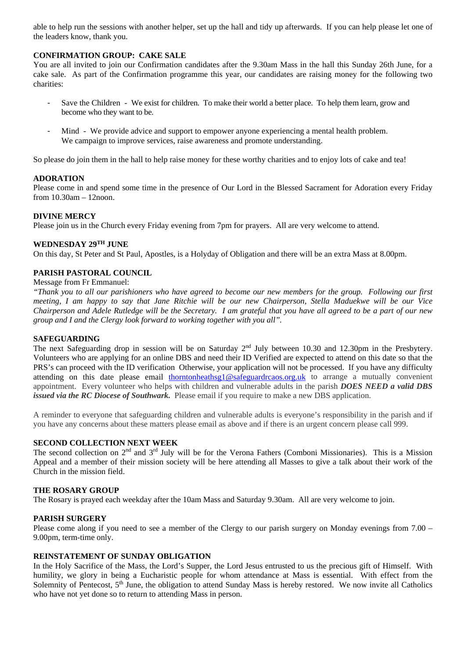able to help run the sessions with another helper, set up the hall and tidy up afterwards. If you can help please let one of the leaders know, thank you.

#### **CONFIRMATION GROUP: CAKE SALE**

You are all invited to join our Confirmation candidates after the 9.30am Mass in the hall this Sunday 26th June, for a cake sale. As part of the Confirmation programme this year, our candidates are raising money for the following two charities:

- Save the Children We exist for children. To make their world a better place. To help them learn, grow and become who they want to be.
- Mind We provide [advice and support](https://www.mind.org.uk/information-support/) to empower anyone experiencing a mental health problem. We [campaign](https://www.mind.org.uk/news-campaigns/campaigns/) to improve services, raise awareness and promote understanding.

So please do join them in the hall to help raise money for these worthy charities and to enjoy lots of cake and tea!

#### **ADORATION**

Please come in and spend some time in the presence of Our Lord in the Blessed Sacrament for Adoration every Friday from 10.30am – 12noon.

#### **DIVINE MERCY**

Please join us in the Church every Friday evening from 7pm for prayers. All are very welcome to attend.

#### **WEDNESDAY 29TH JUNE**

On this day, St Peter and St Paul, Apostles, is a Holyday of Obligation and there will be an extra Mass at 8.00pm.

#### **PARISH PASTORAL COUNCIL**

Message from Fr Emmanuel:

*"Thank you to all our parishioners who have agreed to become our new members for the group. Following our first meeting, I am happy to say that Jane Ritchie will be our new Chairperson, Stella Maduekwe will be our Vice Chairperson and Adele Rutledge will be the Secretary. I am grateful that you have all agreed to be a part of our new group and I and the Clergy look forward to working together with you all".*

#### **SAFEGUARDING**

The next Safeguarding drop in session will be on Saturday 2<sup>nd</sup> July between 10.30 and 12.30pm in the Presbytery. Volunteers who are applying for an online DBS and need their ID Verified are expected to attend on this date so that the PRS's can proceed with the ID verification Otherwise, your application will not be processed. If you have any difficulty attending on this date please email [thorntonheathsg1@safeguardrcaos.org.uk](mailto:thorntonheathsg1@safeguardrcaos.org.uk) to arrange a mutually convenient appointment. Every volunteer who helps with children and vulnerable adults in the parish *DOES NEED a valid DBS issued via the RC Diocese of Southwark.* Please email if you require to make a new DBS application.

A reminder to everyone that safeguarding children and vulnerable adults is everyone's responsibility in the parish and if you have any concerns about these matters please email as above and if there is an urgent concern please call 999.

#### **SECOND COLLECTION NEXT WEEK**

The second collection on 2<sup>nd</sup> and 3<sup>rd</sup> July will be for the Verona Fathers (Comboni Missionaries). This is a Mission Appeal and a member of their mission society will be here attending all Masses to give a talk about their work of the Church in the mission field.

#### **THE ROSARY GROUP**

The Rosary is prayed each weekday after the 10am Mass and Saturday 9.30am. All are very welcome to join.

#### **PARISH SURGERY**

Please come along if you need to see a member of the Clergy to our parish surgery on Monday evenings from 7.00 – 9.00pm, term-time only.

#### **REINSTATEMENT OF SUNDAY OBLIGATION**

In the Holy Sacrifice of the Mass, the Lord's Supper, the Lord Jesus entrusted to us the precious gift of Himself. With humility, we glory in being a Eucharistic people for whom attendance at Mass is essential. With effect from the Solemnity of Pentecost,  $5<sup>th</sup>$  June, the obligation to attend Sunday Mass is hereby restored. We now invite all Catholics who have not yet done so to return to attending Mass in person.